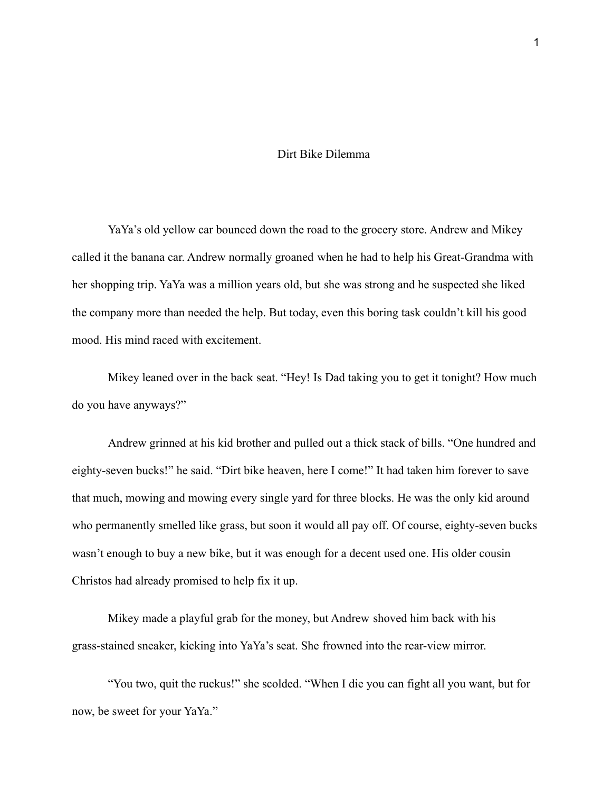## Dirt Bike Dilemma

YaYa's old yellow car bounced down the road to the grocery store. Andrew and Mikey called it the banana car. Andrew normally groaned when he had to help his Great-Grandma with her shopping trip. YaYa was a million years old, but she was strong and he suspected she liked the company more than needed the help. But today, even this boring task couldn't kill his good mood. His mind raced with excitement.

Mikey leaned over in the back seat. "Hey! Is Dad taking you to get it tonight? How much do you have anyways?"

Andrew grinned at his kid brother and pulled out a thick stack of bills. "One hundred and eighty-seven bucks!" he said. "Dirt bike heaven, here I come!" It had taken him forever to save that much, mowing and mowing every single yard for three blocks. He was the only kid around who permanently smelled like grass, but soon it would all pay off. Of course, eighty-seven bucks wasn't enough to buy a new bike, but it was enough for a decent used one. His older cousin Christos had already promised to help fix it up.

Mikey made a playful grab for the money, but Andrew shoved him back with his grass-stained sneaker, kicking into YaYa's seat. She frowned into the rear-view mirror.

"You two, quit the ruckus!" she scolded. "When I die you can fight all you want, but for now, be sweet for your YaYa."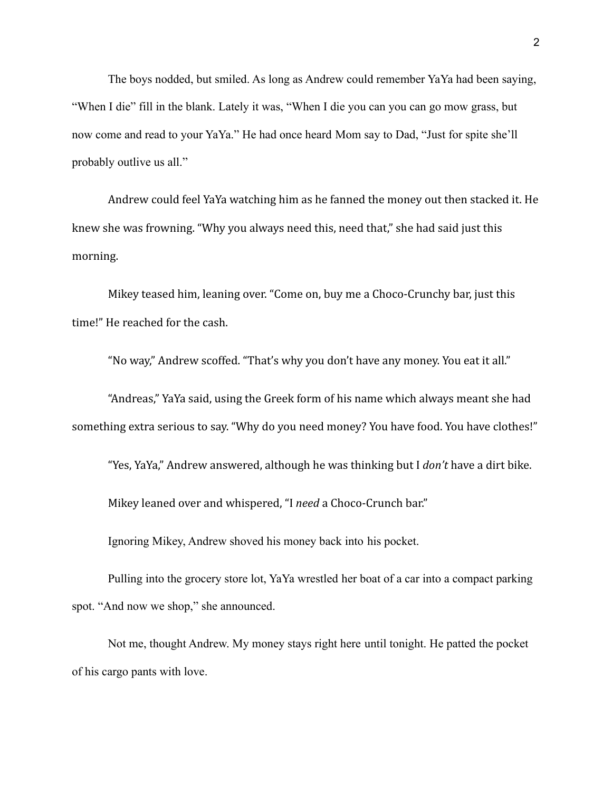The boys nodded, but smiled. As long as Andrew could remember YaYa had been saying, "When I die" fill in the blank. Lately it was, "When I die you can you can go mow grass, but now come and read to your YaYa." He had once heard Mom say to Dad, "Just for spite she'll probably outlive us all."

Andrew could feel YaYa watching him as he fanned the money out then stacked it. He knew she was frowning. "Why you always need this, need that," she had said just this morning.

Mikey teased him, leaning over. "Come on, buy me a Choco-Crunchy bar, just this time!" He reached for the cash.

"No way," Andrew scoffed. "That's why you don't have any money. You eat it all."

"Andreas," YaYa said, using the Greek form of his name which always meant she had something extra serious to say. "Why do you need money? You have food. You have clothes!"

"Yes, YaYa," Andrew answered, although he was thinking but I *don't* have a dirt bike.

Mikey leaned over and whispered, "I *need* a Choco-Crunch bar."

Ignoring Mikey, Andrew shoved his money back into his pocket.

Pulling into the grocery store lot, YaYa wrestled her boat of a car into a compact parking spot. "And now we shop," she announced.

Not me, thought Andrew. My money stays right here until tonight. He patted the pocket of his cargo pants with love.